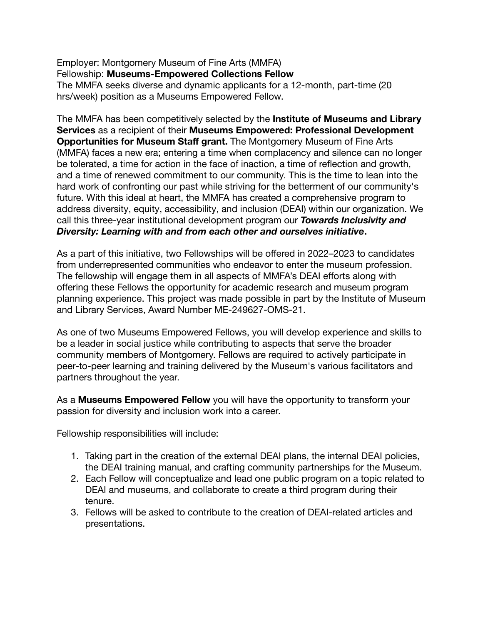Employer: Montgomery Museum of Fine Arts (MMFA) Fellowship: **Museums-Empowered Collections Fellow** The MMFA seeks diverse and dynamic applicants for a 12-month, part-time (20 hrs/week) position as a Museums Empowered Fellow.

The MMFA has been competitively selected by the **Institute of Museums and Library Services** as a recipient of their **Museums Empowered: Professional Development Opportunities for Museum Staff grant.** The Montgomery Museum of Fine Arts (MMFA) faces a new era; entering a time when complacency and silence can no longer be tolerated, a time for action in the face of inaction, a time of reflection and growth, and a time of renewed commitment to our community. This is the time to lean into the hard work of confronting our past while striving for the betterment of our community's future. With this ideal at heart, the MMFA has created a comprehensive program to address diversity, equity, accessibility, and inclusion (DEAI) within our organization. We call this three-year institutional development program our *Towards Inclusivity and Diversity: Learning with and from each other and ourselves initiative***.**

As a part of this initiative, two Fellowships will be offered in 2022–2023 to candidates from underrepresented communities who endeavor to enter the museum profession. The fellowship will engage them in all aspects of MMFA's DEAI efforts along with offering these Fellows the opportunity for academic research and museum program planning experience. This project was made possible in part by the Institute of Museum and Library Services, Award Number ME-249627-OMS-21.

As one of two Museums Empowered Fellows, you will develop experience and skills to be a leader in social justice while contributing to aspects that serve the broader community members of Montgomery. Fellows are required to actively participate in peer-to-peer learning and training delivered by the Museum's various facilitators and partners throughout the year.

As a **Museums Empowered Fellow** you will have the opportunity to transform your passion for diversity and inclusion work into a career.

Fellowship responsibilities will include:

- 1. Taking part in the creation of the external DEAI plans, the internal DEAI policies, the DEAI training manual, and crafting community partnerships for the Museum.
- 2. Each Fellow will conceptualize and lead one public program on a topic related to DEAI and museums, and collaborate to create a third program during their tenure.
- 3. Fellows will be asked to contribute to the creation of DEAI-related articles and presentations.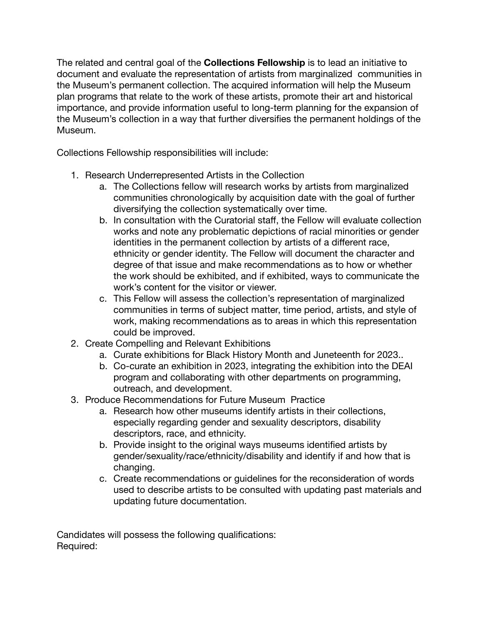The related and central goal of the **Collections Fellowship** is to lead an initiative to document and evaluate the representation of artists from marginalized communities in the Museum's permanent collection. The acquired information will help the Museum plan programs that relate to the work of these artists, promote their art and historical importance, and provide information useful to long-term planning for the expansion of the Museum's collection in a way that further diversifies the permanent holdings of the Museum.

Collections Fellowship responsibilities will include:

- 1. Research Underrepresented Artists in the Collection
	- a. The Collections fellow will research works by artists from marginalized communities chronologically by acquisition date with the goal of further diversifying the collection systematically over time.
	- b. In consultation with the Curatorial staff, the Fellow will evaluate collection works and note any problematic depictions of racial minorities or gender identities in the permanent collection by artists of a different race, ethnicity or gender identity. The Fellow will document the character and degree of that issue and make recommendations as to how or whether the work should be exhibited, and if exhibited, ways to communicate the work's content for the visitor or viewer.
	- c. This Fellow will assess the collection's representation of marginalized communities in terms of subject matter, time period, artists, and style of work, making recommendations as to areas in which this representation could be improved.
- 2. Create Compelling and Relevant Exhibitions
	- a. Curate exhibitions for Black History Month and Juneteenth for 2023..
	- b. Co-curate an exhibition in 2023, integrating the exhibition into the DEAI program and collaborating with other departments on programming, outreach, and development.
- 3. Produce Recommendations for Future Museum Practice
	- a. Research how other museums identify artists in their collections, especially regarding gender and sexuality descriptors, disability descriptors, race, and ethnicity.
	- b. Provide insight to the original ways museums identified artists by gender/sexuality/race/ethnicity/disability and identify if and how that is changing.
	- c. Create recommendations or guidelines for the reconsideration of words used to describe artists to be consulted with updating past materials and updating future documentation.

Candidates will possess the following qualifications: Required: